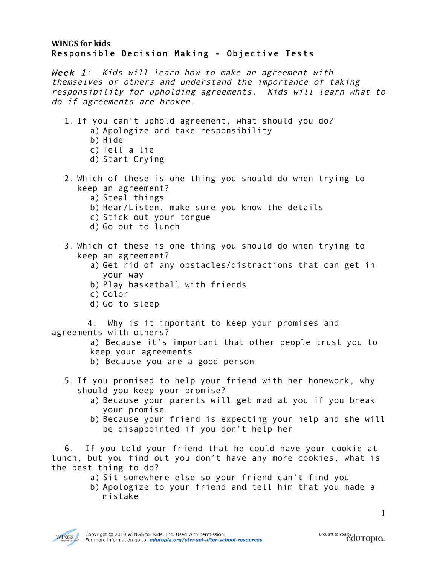## **WINGS for kids** Responsible Decision Making - Objective Tests

Week 1: Kids will learn how to make an agreement with themselves or others and understand the importance of taking responsibility for upholding agreements. Kids will learn what to do if agreements are broken.

- 1. If you can't uphold agreement, what should you do?
	- a) Apologize and take responsibility
		- b) Hide
		- c) Tell a lie
		- d) Start Crying
- 2. Which of these is one thing you should do when trying to keep an agreement?
	- a) Steal things
	- b) Hear/Listen, make sure you know the details
	- c) Stick out your tongue
	- d) Go out to lunch
- 3. Which of these is one thing you should do when trying to keep an agreement?
	- a) Get rid of any obstacles/distractions that can get in your way
	- b) Play basketball with friends
	- c) Color
	- d) Go to sleep

 4. Why is it important to keep your promises and agreements with others?

a) Because it's important that other people trust you to keep your agreements

- b) Because you are a good person
- 5. If you promised to help your friend with her homework, why should you keep your promise?
	- a) Because your parents will get mad at you if you break your promise
	- b) Because your friend is expecting your help and she will be disappointed if you don't help her

6. If you told your friend that he could have your cookie at lunch, but you find out you don't have any more cookies, what is the best thing to do?

- a) Sit somewhere else so your friend can't find you
- b) Apologize to your friend and tell him that you made a mistake

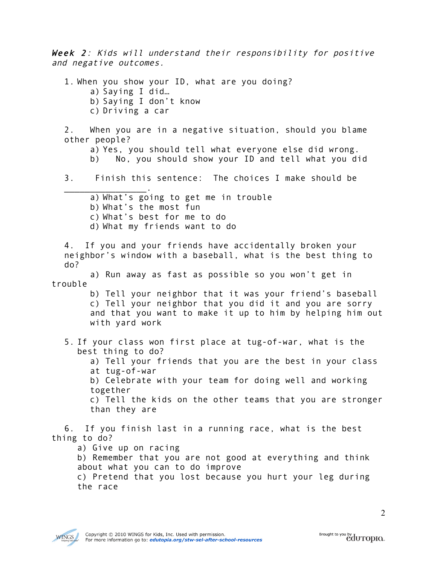Week 2: Kids will understand their responsibility for positive and negative outcomes.

1. When you show your ID, what are you doing? a) Saying I did… b) Saying I don't know c) Driving a car 2. When you are in a negative situation, should you blame other people? a) Yes, you should tell what everyone else did wrong. b) No, you should show your ID and tell what you did 3. Finish this sentence: The choices I make should be  $\overline{\phantom{a}}$  . The set of the set of the set of the set of the set of the set of the set of the set of the set of the set of the set of the set of the set of the set of the set of the set of the set of the set of the set o a) What's going to get me in trouble b) What's the most fun c) What's best for me to do d) What my friends want to do 4. If you and your friends have accidentally broken your neighbor's window with a baseball, what is the best thing to do? a) Run away as fast as possible so you won't get in trouble b) Tell your neighbor that it was your friend's baseball c) Tell your neighbor that you did it and you are sorry and that you want to make it up to him by helping him out with yard work 5. If your class won first place at tug-of-war, what is the best thing to do? a) Tell your friends that you are the best in your class at tug-of-war b) Celebrate with your team for doing well and working together c) Tell the kids on the other teams that you are stronger than they are 6. If you finish last in a running race, what is the best thing to do? a) Give up on racing b) Remember that you are not good at everything and think about what you can to do improve

c) Pretend that you lost because you hurt your leg during the race

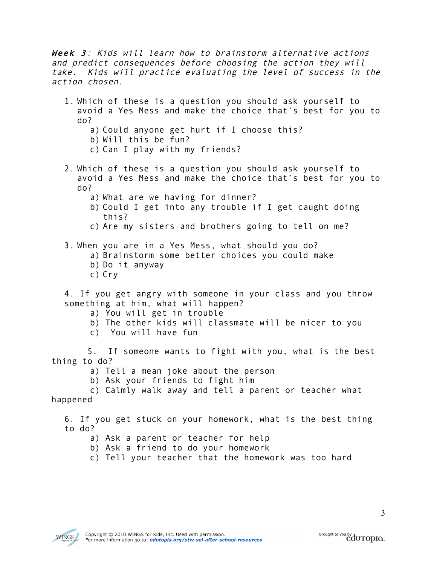Week 3: Kids will learn how to brainstorm alternative actions and predict consequences before choosing the action they will take. Kids will practice evaluating the level of success in the action chosen.

- 1. Which of these is a question you should ask yourself to avoid a Yes Mess and make the choice that's best for you to do?
	- a) Could anyone get hurt if I choose this?
	- b) Will this be fun?
	- c) Can I play with my friends?
- 2. Which of these is a question you should ask yourself to avoid a Yes Mess and make the choice that's best for you to do?
	- a) What are we having for dinner?
	- b) Could I get into any trouble if I get caught doing this?
	- c) Are my sisters and brothers going to tell on me?
- 3. When you are in a Yes Mess, what should you do?
	- a) Brainstorm some better choices you could make
	- b) Do it anyway
	- c) Cry

4. If you get angry with someone in your class and you throw something at him, what will happen?

- a) You will get in trouble
- b) The other kids will classmate will be nicer to you
- c) You will have fun

 5. If someone wants to fight with you, what is the best thing to do?

- a) Tell a mean joke about the person
- b) Ask your friends to fight him

c) Calmly walk away and tell a parent or teacher what happened

6. If you get stuck on your homework, what is the best thing to do?

- a) Ask a parent or teacher for help
- b) Ask a friend to do your homework
- c) Tell your teacher that the homework was too hard

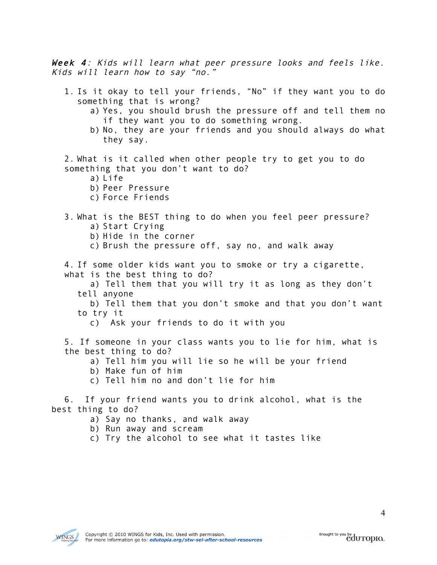Week 4: Kids will learn what peer pressure looks and feels like. Kids will learn how to say "no."

- 1. Is it okay to tell your friends, "No" if they want you to do something that is wrong?
	- a) Yes, you should brush the pressure off and tell them no if they want you to do something wrong.
	- b) No, they are your friends and you should always do what they say.

2. What is it called when other people try to get you to do something that you don't want to do?

- a) Life
- b) Peer Pressure
- c) Force Friends

## 3. What is the BEST thing to do when you feel peer pressure? a) Start Crying

- b) Hide in the corner
- c) Brush the pressure off, say no, and walk away

4. If some older kids want you to smoke or try a cigarette, what is the best thing to do?

a) Tell them that you will try it as long as they don't tell anyone

b) Tell them that you don't smoke and that you don't want to try it

c) Ask your friends to do it with you

5. If someone in your class wants you to lie for him, what is the best thing to do?

- a) Tell him you will lie so he will be your friend
- b) Make fun of him
- c) Tell him no and don't lie for him

6. If your friend wants you to drink alcohol, what is the best thing to do?

- a) Say no thanks, and walk away
- b) Run away and scream
- c) Try the alcohol to see what it tastes like

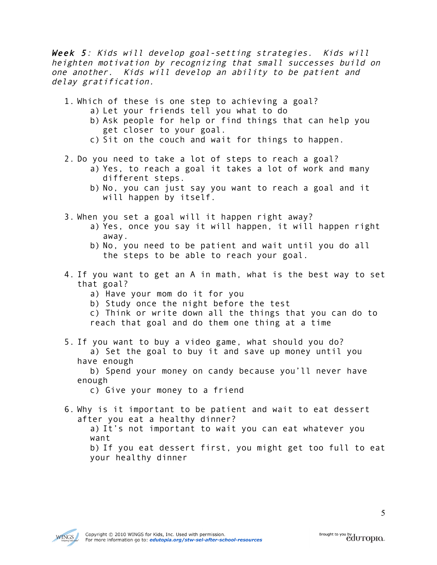Week 5: Kids will develop goal-setting strategies. Kids will heighten motivation by recognizing that small successes build on one another. Kids will develop an ability to be patient and delay gratification.

- 1. Which of these is one step to achieving a goal?
	- a) Let your friends tell you what to do
	- b) Ask people for help or find things that can help you get closer to your goal.
	- c) Sit on the couch and wait for things to happen.
- 2. Do you need to take a lot of steps to reach a goal?
	- a) Yes, to reach a goal it takes a lot of work and many different steps.
	- b) No, you can just say you want to reach a goal and it will happen by itself.
- 3. When you set a goal will it happen right away?
	- a) Yes, once you say it will happen, it will happen right away.
	- b) No, you need to be patient and wait until you do all the steps to be able to reach your goal.
- 4. If you want to get an A in math, what is the best way to set that goal?
	- a) Have your mom do it for you
	- b) Study once the night before the test
	- c) Think or write down all the things that you can do to reach that goal and do them one thing at a time
- 5. If you want to buy a video game, what should you do?
	- a) Set the goal to buy it and save up money until you have enough
	- b) Spend your money on candy because you'll never have enough
		- c) Give your money to a friend
- 6. Why is it important to be patient and wait to eat dessert after you eat a healthy dinner?
	- a) It's not important to wait you can eat whatever you want

b) If you eat dessert first, you might get too full to eat your healthy dinner